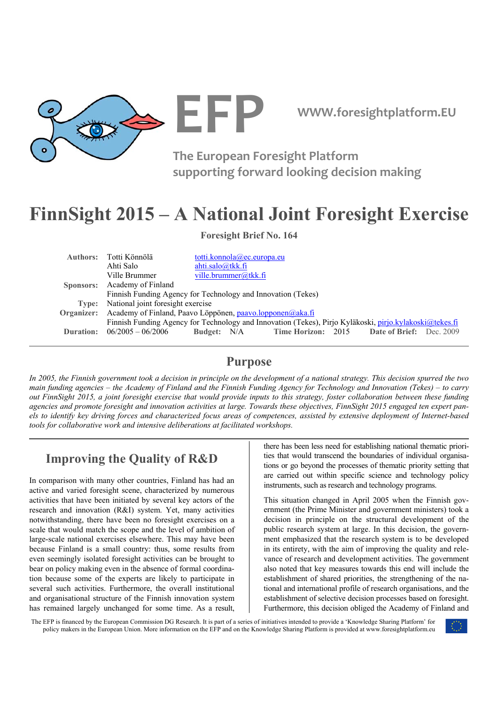

**EFP WWW.foresightplatform.EU** 

**The European Foresight Platform supporting forward looking decision making**

# **FinnSight 2015 – A National Joint Foresight Exercise**

**Foresight Brief No. 164** 

| Authors: Totti Könnölä                                                                                  | totti.konnola@ec.europa.eu |                                                                |  |  |
|---------------------------------------------------------------------------------------------------------|----------------------------|----------------------------------------------------------------|--|--|
| Ahti Salo                                                                                               | ahti.salo@tkk.fi           |                                                                |  |  |
| Ville Brummer                                                                                           | ville.brummer@tkk.fi       |                                                                |  |  |
| Sponsors: Academy of Finland                                                                            |                            |                                                                |  |  |
| Finnish Funding Agency for Technology and Innovation (Tekes)                                            |                            |                                                                |  |  |
| Type: National joint foresight exercise                                                                 |                            |                                                                |  |  |
| Organizer: Academy of Finland, Paavo Löppönen, paavo.lopponen@aka.fi                                    |                            |                                                                |  |  |
| Finnish Funding Agency for Technology and Innovation (Tekes), Pirjo Kyläkoski, pirjo.kylakoski@tekes.fi |                            |                                                                |  |  |
| <b>Duration:</b> $06/2005 - 06/2006$                                                                    |                            | <b>Budget:</b> N/A Time Horizon: 2015 Date of Brief: Dec. 2009 |  |  |
|                                                                                                         |                            |                                                                |  |  |

# **Purpose**

*In 2005, the Finnish government took a decision in principle on the development of a national strategy. This decision spurred the two main funding agencies – the Academy of Finland and the Finnish Funding Agency for Technology and Innovation (Tekes) – to carry out FinnSight 2015, a joint foresight exercise that would provide inputs to this strategy, foster collaboration between these funding agencies and promote foresight and innovation activities at large. Towards these objectives, FinnSight 2015 engaged ten expert panels to identify key driving forces and characterized focus areas of competences, assisted by extensive deployment of Internet-based tools for collaborative work and intensive deliberations at facilitated workshops.* 

# **Improving the Quality of R&D**

In comparison with many other countries, Finland has had an active and varied foresight scene, characterized by numerous activities that have been initiated by several key actors of the research and innovation (R&I) system. Yet, many activities notwithstanding, there have been no foresight exercises on a scale that would match the scope and the level of ambition of large-scale national exercises elsewhere. This may have been because Finland is a small country: thus, some results from even seemingly isolated foresight activities can be brought to bear on policy making even in the absence of formal coordination because some of the experts are likely to participate in several such activities. Furthermore, the overall institutional and organisational structure of the Finnish innovation system has remained largely unchanged for some time. As a result, there has been less need for establishing national thematic priorities that would transcend the boundaries of individual organisations or go beyond the processes of thematic priority setting that are carried out within specific science and technology policy instruments, such as research and technology programs.

This situation changed in April 2005 when the Finnish government (the Prime Minister and government ministers) took a decision in principle on the structural development of the public research system at large. In this decision, the government emphasized that the research system is to be developed in its entirety, with the aim of improving the quality and relevance of research and development activities. The government also noted that key measures towards this end will include the establishment of shared priorities, the strengthening of the national and international profile of research organisations, and the establishment of selective decision processes based on foresight. Furthermore, this decision obliged the Academy of Finland and

The EFP is financed by the European Commission DG Research. It is part of a series of initiatives intended to provide a 'Knowledge Sharing Platform' for policy makers in the European Union. More information on the EFP and on the Knowledge Sharing Platform is provided at www.foresightplatform.eu

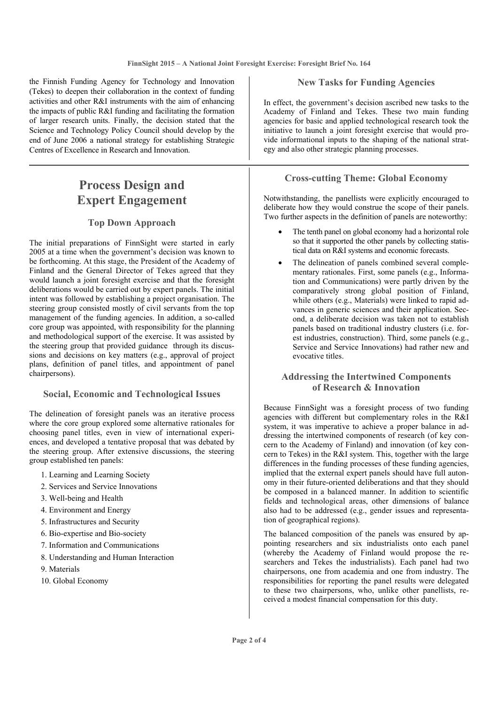the Finnish Funding Agency for Technology and Innovation (Tekes) to deepen their collaboration in the context of funding activities and other R&I instruments with the aim of enhancing the impacts of public R&I funding and facilitating the formation of larger research units. Finally, the decision stated that the Science and Technology Policy Council should develop by the end of June 2006 a national strategy for establishing Strategic Centres of Excellence in Research and Innovation.

# **Process Design and Expert Engagement**

# **Top Down Approach**

The initial preparations of FinnSight were started in early 2005 at a time when the government's decision was known to be forthcoming. At this stage, the President of the Academy of Finland and the General Director of Tekes agreed that they would launch a joint foresight exercise and that the foresight deliberations would be carried out by expert panels. The initial intent was followed by establishing a project organisation. The steering group consisted mostly of civil servants from the top management of the funding agencies. In addition, a so-called core group was appointed, with responsibility for the planning and methodological support of the exercise. It was assisted by the steering group that provided guidance through its discussions and decisions on key matters (e.g., approval of project plans, definition of panel titles, and appointment of panel chairpersons).

### **Social, Economic and Technological Issues**

The delineation of foresight panels was an iterative process where the core group explored some alternative rationales for choosing panel titles, even in view of international experiences, and developed a tentative proposal that was debated by the steering group. After extensive discussions, the steering group established ten panels:

- 1. Learning and Learning Society
- 2. Services and Service Innovations
- 3. Well-being and Health
- 4. Environment and Energy
- 5. Infrastructures and Security
- 6. Bio-expertise and Bio-society
- 7. Information and Communications
- 8. Understanding and Human Interaction
- 9. Materials
- 10. Global Economy

### **New Tasks for Funding Agencies**

In effect, the government's decision ascribed new tasks to the Academy of Finland and Tekes. These two main funding agencies for basic and applied technological research took the initiative to launch a joint foresight exercise that would provide informational inputs to the shaping of the national strategy and also other strategic planning processes.

### **Cross-cutting Theme: Global Economy**

Notwithstanding, the panellists were explicitly encouraged to deliberate how they would construe the scope of their panels. Two further aspects in the definition of panels are noteworthy:

- The tenth panel on global economy had a horizontal role so that it supported the other panels by collecting statistical data on R&I systems and economic forecasts.
- The delineation of panels combined several complementary rationales. First, some panels (e.g., Information and Communications) were partly driven by the comparatively strong global position of Finland, while others (e.g., Materials) were linked to rapid advances in generic sciences and their application. Second, a deliberate decision was taken not to establish panels based on traditional industry clusters (i.e. forest industries, construction). Third, some panels (e.g., Service and Service Innovations) had rather new and evocative titles.

# **Addressing the Intertwined Components of Research & Innovation**

Because FinnSight was a foresight process of two funding agencies with different but complementary roles in the R&I system, it was imperative to achieve a proper balance in addressing the intertwined components of research (of key concern to the Academy of Finland) and innovation (of key concern to Tekes) in the R&I system. This, together with the large differences in the funding processes of these funding agencies, implied that the external expert panels should have full autonomy in their future-oriented deliberations and that they should be composed in a balanced manner. In addition to scientific fields and technological areas, other dimensions of balance also had to be addressed (e.g., gender issues and representation of geographical regions).

The balanced composition of the panels was ensured by appointing researchers and six industrialists onto each panel (whereby the Academy of Finland would propose the researchers and Tekes the industrialists). Each panel had two chairpersons, one from academia and one from industry. The responsibilities for reporting the panel results were delegated to these two chairpersons, who, unlike other panellists, received a modest financial compensation for this duty.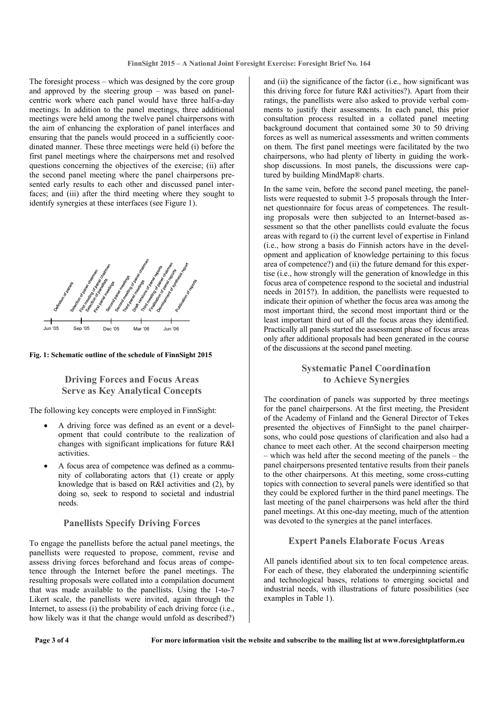The foresight process – which was designed by the core group and approved by the steering group – was based on panelcentric work where each panel would have three half-a-day meetings. In addition to the panel meetings, three additional meetings were held among the twelve panel chairpersons with the aim of enhancing the exploration of panel interfaces and ensuring that the panels would proceed in a sufficiently coordinated manner. These three meetings were held (i) before the first panel meetings where the chairpersons met and resolved questions concerning the objectives of the exercise; (ii) after the second panel meeting where the panel chairpersons presented early results to each other and discussed panel interfaces; and (iii) after the third meeting where they sought to identify synergies at these interfaces (see Figure 1).



#### **Fig. 1: Schematic outline of the schedule of FinnSight 2015**

# **Driving Forces and Focus Areas Serve as Key Analytical Concepts**

The following key concepts were employed in FinnSight:

- A driving force was defined as an event or a development that could contribute to the realization of changes with significant implications for future R&I activities.
- A focus area of competence was defined as a community of collaborating actors that (1) create or apply knowledge that is based on R&I activities and (2), by doing so, seek to respond to societal and industrial needs.

#### **Panellists Specify Driving Forces**

To engage the panellists before the actual panel meetings, the panellists were requested to propose, comment, revise and assess driving forces beforehand and focus areas of competence through the Internet before the panel meetings. The resulting proposals were collated into a compilation document that was made available to the panellists. Using the 1-to-7 Likert scale, the panellists were invited, again through the Internet, to assess  $(i)$  the probability of each driving force  $(i.e.,)$ how likely was it that the change would unfold as described?)

and (ii) the significance of the factor (i.e., how significant was this driving force for future R&I activities?). Apart from their ratings, the panellists were also asked to provide verbal comments to justify their assessments. In each panel, this prior consultation process resulted in a collated panel meeting background document that contained some 30 to 50 driving forces as well as numerical assessments and written comments on them. The first panel meetings were facilitated by the two chairpersons, who had plenty of liberty in guiding the workshop discussions. In most panels, the discussions were captured by building MindMap® charts.

In the same vein, before the second panel meeting, the panellists were requested to submit 3-5 proposals through the Internet questionnaire for focus areas of competences. The resulting proposals were then subjected to an Internet-based assessment so that the other panellists could evaluate the focus areas with regard to (i) the current level of expertise in Finland (i.e., how strong a basis do Finnish actors have in the development and application of knowledge pertaining to this focus area of competence?) and (ii) the future demand for this expertise (i.e., how strongly will the generation of knowledge in this focus area of competence respond to the societal and industrial needs in 2015?). In addition, the panellists were requested to indicate their opinion of whether the focus area was among the most important third, the second most important third or the least important third out of all the focus areas they identified. Practically all panels started the assessment phase of focus areas only after additional proposals had been generated in the course of the discussions at the second panel meeting.

### **Systematic Panel Coordination to Achieve Synergies**

The coordination of panels was supported by three meetings for the panel chairpersons. At the first meeting, the President of the Academy of Finland and the General Director of Tekes presented the objectives of FinnSight to the panel chairpersons, who could pose questions of clarification and also had a chance to meet each other. At the second chairperson meeting – which was held after the second meeting of the panels – the panel chairpersons presented tentative results from their panels to the other chairpersons. At this meeting, some cross-cutting topics with connection to several panels were identified so that they could be explored further in the third panel meetings. The last meeting of the panel chairpersons was held after the third panel meetings. At this one-day meeting, much of the attention was devoted to the synergies at the panel interfaces.

#### **Expert Panels Elaborate Focus Areas**

All panels identified about six to ten focal competence areas. For each of these, they elaborated the underpinning scientific and technological bases, relations to emerging societal and industrial needs, with illustrations of future possibilities (see examples in Table 1).